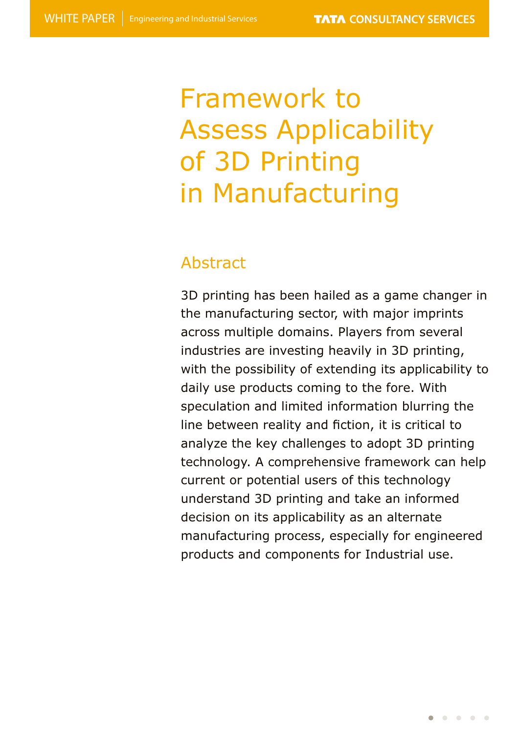# Framework to Assess Applicability of 3D Printing in Manufacturing

### Abstract

3D printing has been hailed as a game changer in the manufacturing sector, with major imprints across multiple domains. Players from several industries are investing heavily in 3D printing, with the possibility of extending its applicability to daily use products coming to the fore. With speculation and limited information blurring the line between reality and fiction, it is critical to analyze the key challenges to adopt 3D printing technology. A comprehensive framework can help current or potential users of this technology understand 3D printing and take an informed decision on its applicability as an alternate manufacturing process, especially for engineered products and components for Industrial use.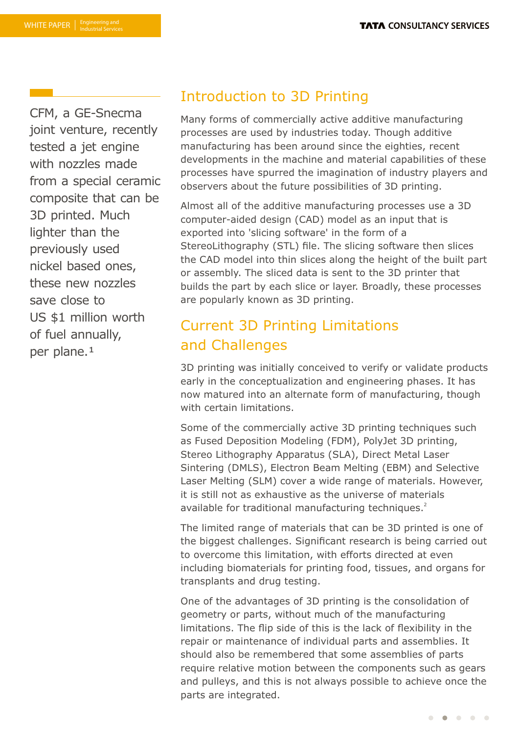CFM, a GE-Snecma joint venture, recently tested a jet engine with nozzles made from a special ceramic composite that can be 3D printed. Much lighter than the previously used nickel based ones, these new nozzles save close to US \$1 million worth of fuel annually, per plane.<sup>1</sup>

### Introduction to 3D Printing

Many forms of commercially active additive manufacturing processes are used by industries today. Though additive manufacturing has been around since the eighties, recent developments in the machine and material capabilities of these processes have spurred the imagination of industry players and observers about the future possibilities of 3D printing.

Almost all of the additive manufacturing processes use a 3D computer-aided design (CAD) model as an input that is exported into 'slicing software' in the form of a StereoLithography (STL) file. The slicing software then slices the CAD model into thin slices along the height of the built part or assembly. The sliced data is sent to the 3D printer that builds the part by each slice or layer. Broadly, these processes are popularly known as 3D printing.

# Current 3D Printing Limitations and Challenges

3D printing was initially conceived to verify or validate products early in the conceptualization and engineering phases. It has now matured into an alternate form of manufacturing, though with certain limitations.

Some of the commercially active 3D printing techniques such as Fused Deposition Modeling (FDM), PolyJet 3D printing, Stereo Lithography Apparatus (SLA), Direct Metal Laser Sintering (DMLS), Electron Beam Melting (EBM) and Selective Laser Melting (SLM) cover a wide range of materials. However, it is still not as exhaustive as the universe of materials available for traditional manufacturing techniques.<sup>2</sup>

The limited range of materials that can be 3D printed is one of the biggest challenges. Significant research is being carried out to overcome this limitation, with efforts directed at even including biomaterials for printing food, tissues, and organs for transplants and drug testing.

One of the advantages of 3D printing is the consolidation of geometry or parts, without much of the manufacturing limitations. The flip side of this is the lack of flexibility in the repair or maintenance of individual parts and assemblies. It should also be remembered that some assemblies of parts require relative motion between the components such as gears and pulleys, and this is not always possible to achieve once the parts are integrated.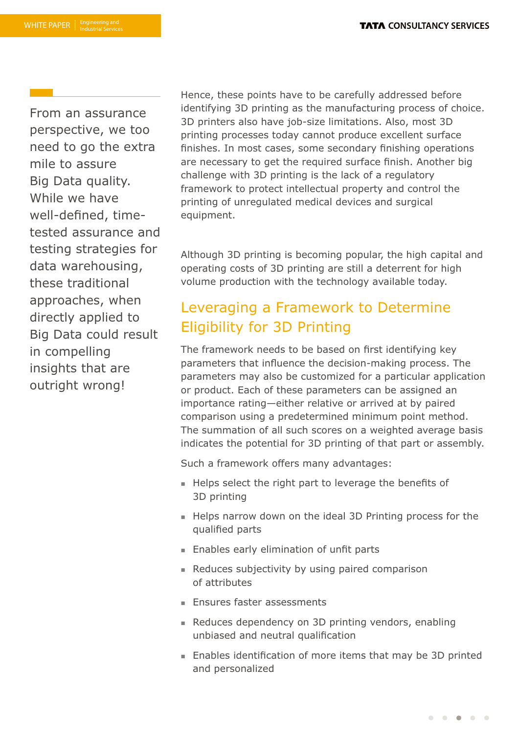From an assurance perspective, we too need to go the extra mile to assure Big Data quality. While we have well-defined, timetested assurance and testing strategies for data warehousing, these traditional approaches, when directly applied to Big Data could result in compelling insights that are outright wrong!

Hence, these points have to be carefully addressed before identifying 3D printing as the manufacturing process of choice. 3D printers also have job-size limitations. Also, most 3D printing processes today cannot produce excellent surface finishes. In most cases, some secondary finishing operations are necessary to get the required surface finish. Another big challenge with 3D printing is the lack of a regulatory framework to protect intellectual property and control the printing of unregulated medical devices and surgical equipment.

Although 3D printing is becoming popular, the high capital and operating costs of 3D printing are still a deterrent for high volume production with the technology available today.

## Leveraging a Framework to Determine Eligibility for 3D Printing

The framework needs to be based on first identifying key parameters that influence the decision-making process. The parameters may also be customized for a particular application or product. Each of these parameters can be assigned an importance rating—either relative or arrived at by paired comparison using a predetermined minimum point method. The summation of all such scores on a weighted average basis indicates the potential for 3D printing of that part or assembly.

Such a framework offers many advantages:

- Helps select the right part to leverage the benefits of 3D printing
- Helps narrow down on the ideal 3D Printing process for the qualified parts
- $\blacksquare$  Enables early elimination of unfit parts
- **Reduces subjectivity by using paired comparison** of attributes
- **Ensures faster assessments**
- n Reduces dependency on 3D printing vendors, enabling unbiased and neutral qualification
- Enables identification of more items that may be 3D printed and personalized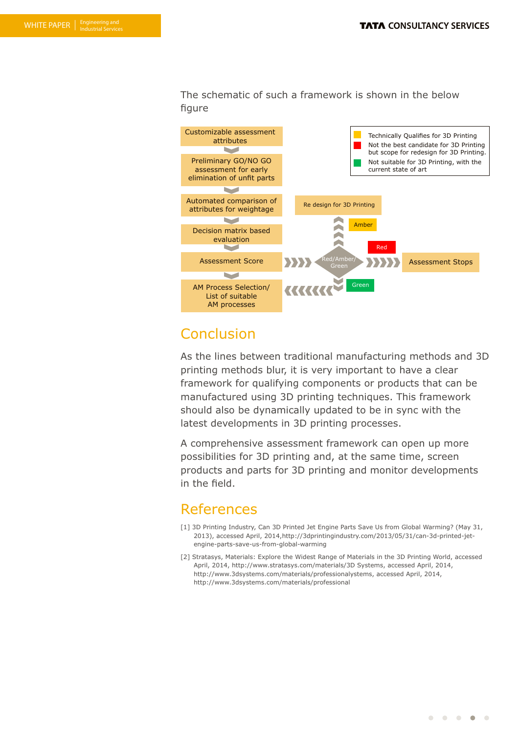The schematic of such a framework is shown in the below figure



### **Conclusion**

As the lines between traditional manufacturing methods and 3D printing methods blur, it is very important to have a clear framework for qualifying components or products that can be manufactured using 3D printing techniques. This framework should also be dynamically updated to be in sync with the latest developments in 3D printing processes.

A comprehensive assessment framework can open up more possibilities for 3D printing and, at the same time, screen products and parts for 3D printing and monitor developments in the field.

### References

- [1] 3D Printing Industry, Can 3D Printed Jet Engine Parts Save Us from Global Warming? (May 31, 2013), accessed April, 2014,http://3dprintingindustry.com/2013/05/31/can-3d-printed-jetengine-parts-save-us-from-global-warming
- [2] Stratasys, Materials: Explore the Widest Range of Materials in the 3D Printing World, accessed April, 2014, http://www.stratasys.com/materials/3D Systems, accessed April, 2014, http://www.3dsystems.com/materials/professionalystems, accessed April, 2014, http://www.3dsystems.com/materials/professional